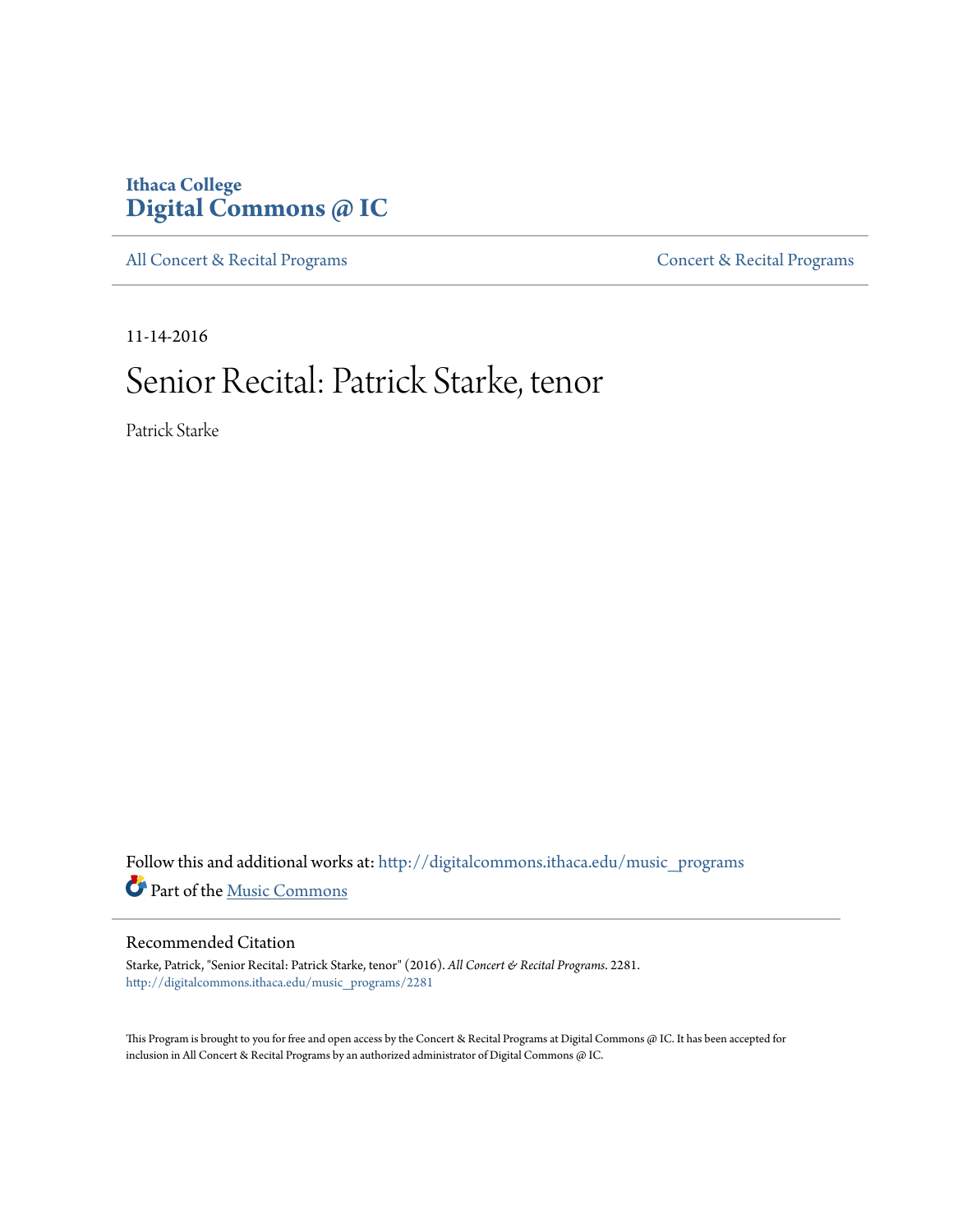# **Ithaca College [Digital Commons @ IC](http://digitalcommons.ithaca.edu?utm_source=digitalcommons.ithaca.edu%2Fmusic_programs%2F2281&utm_medium=PDF&utm_campaign=PDFCoverPages)**

[All Concert & Recital Programs](http://digitalcommons.ithaca.edu/music_programs?utm_source=digitalcommons.ithaca.edu%2Fmusic_programs%2F2281&utm_medium=PDF&utm_campaign=PDFCoverPages) **[Concert & Recital Programs](http://digitalcommons.ithaca.edu/som_programs?utm_source=digitalcommons.ithaca.edu%2Fmusic_programs%2F2281&utm_medium=PDF&utm_campaign=PDFCoverPages)** 

11-14-2016

# Senior Recital: Patrick Starke, tenor

Patrick Starke

Follow this and additional works at: [http://digitalcommons.ithaca.edu/music\\_programs](http://digitalcommons.ithaca.edu/music_programs?utm_source=digitalcommons.ithaca.edu%2Fmusic_programs%2F2281&utm_medium=PDF&utm_campaign=PDFCoverPages) Part of the [Music Commons](http://network.bepress.com/hgg/discipline/518?utm_source=digitalcommons.ithaca.edu%2Fmusic_programs%2F2281&utm_medium=PDF&utm_campaign=PDFCoverPages)

### Recommended Citation

Starke, Patrick, "Senior Recital: Patrick Starke, tenor" (2016). *All Concert & Recital Programs*. 2281. [http://digitalcommons.ithaca.edu/music\\_programs/2281](http://digitalcommons.ithaca.edu/music_programs/2281?utm_source=digitalcommons.ithaca.edu%2Fmusic_programs%2F2281&utm_medium=PDF&utm_campaign=PDFCoverPages)

This Program is brought to you for free and open access by the Concert & Recital Programs at Digital Commons @ IC. It has been accepted for inclusion in All Concert & Recital Programs by an authorized administrator of Digital Commons @ IC.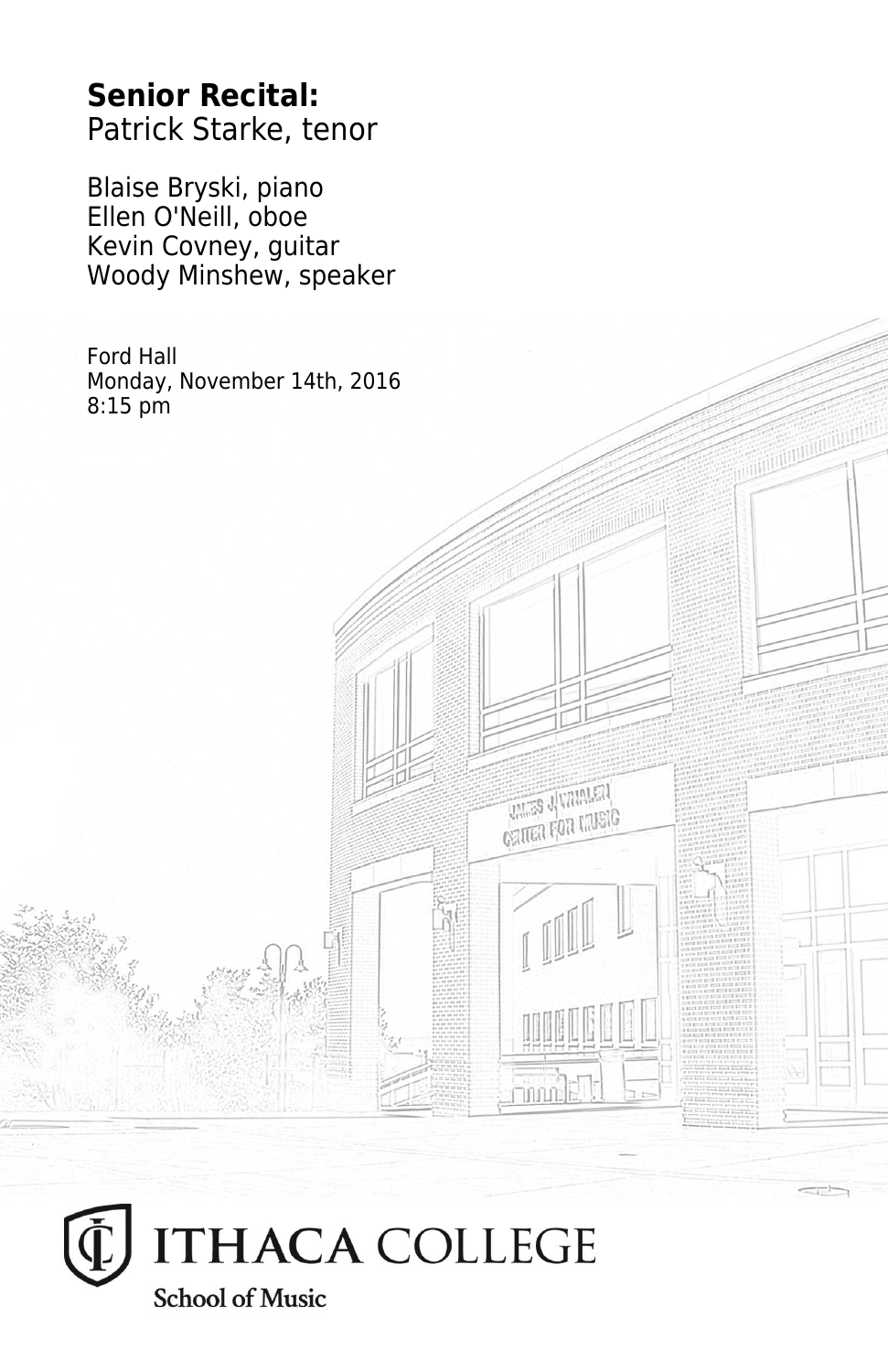# **Senior Recital:** Patrick Starke, tenor

Blaise Bryski, piano Ellen O'Neill, oboe Kevin Covney, guitar Woody Minshew, speaker

Ford Hall Monday, November 14th, 2016 8:15 pm

**THES JUVANIEN CRITER FOR LIVEIG** 

**Thum** 

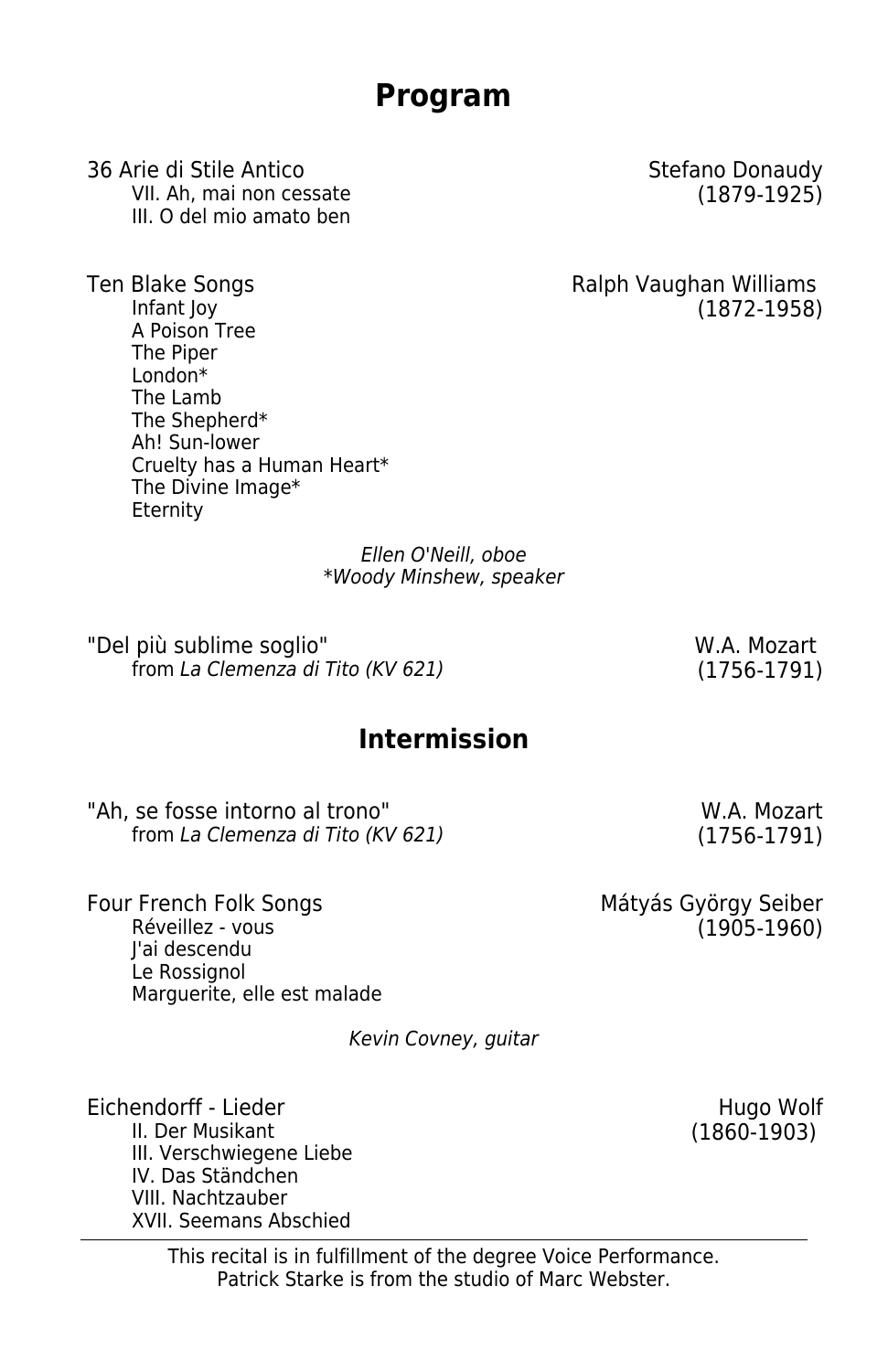**Program**

36 Arie di Stile Antico **Stefano Donaudy** Stefano Donaudy VII. Ah, mai non cessate (1879-1925) III. O del mio amato ben

Ten Blake Songs Ten Blake Songs Ralph Vaughan Williams Infant Joy (1872-1958) A Poison Tree The Piper London\* The Lamb The Shepherd\* Ah! Sun-lower Cruelty has a Human Heart\* The Divine Image\* **Eternity** 

> Ellen O'Neill, oboe \*Woody Minshew, speaker

"Del più sublime soglio" New York Contract and M.A. Mozart  $from La Clemenza di Tito (KV 621)$  (1756-1791)

## **Intermission**

"Ah, se fosse intorno al trono" W.A. Mozart<br>from La Clemenza di Tito (KV 621) (1756-1791) from La Clemenza di Tito (KV 621)

Four French Folk Songs Matyás György Seiber Réveillez - vous (1905-1960) J'ai descendu Le Rossignol Marguerite, elle est malade

Kevin Covney, guitar

Eichendorff - Lieder Hugo Wolf III. Verschwiegene Liebe IV. Das Ständchen VIII. Nachtzauber XVII. Seemans Abschied

 $(1860-1903)$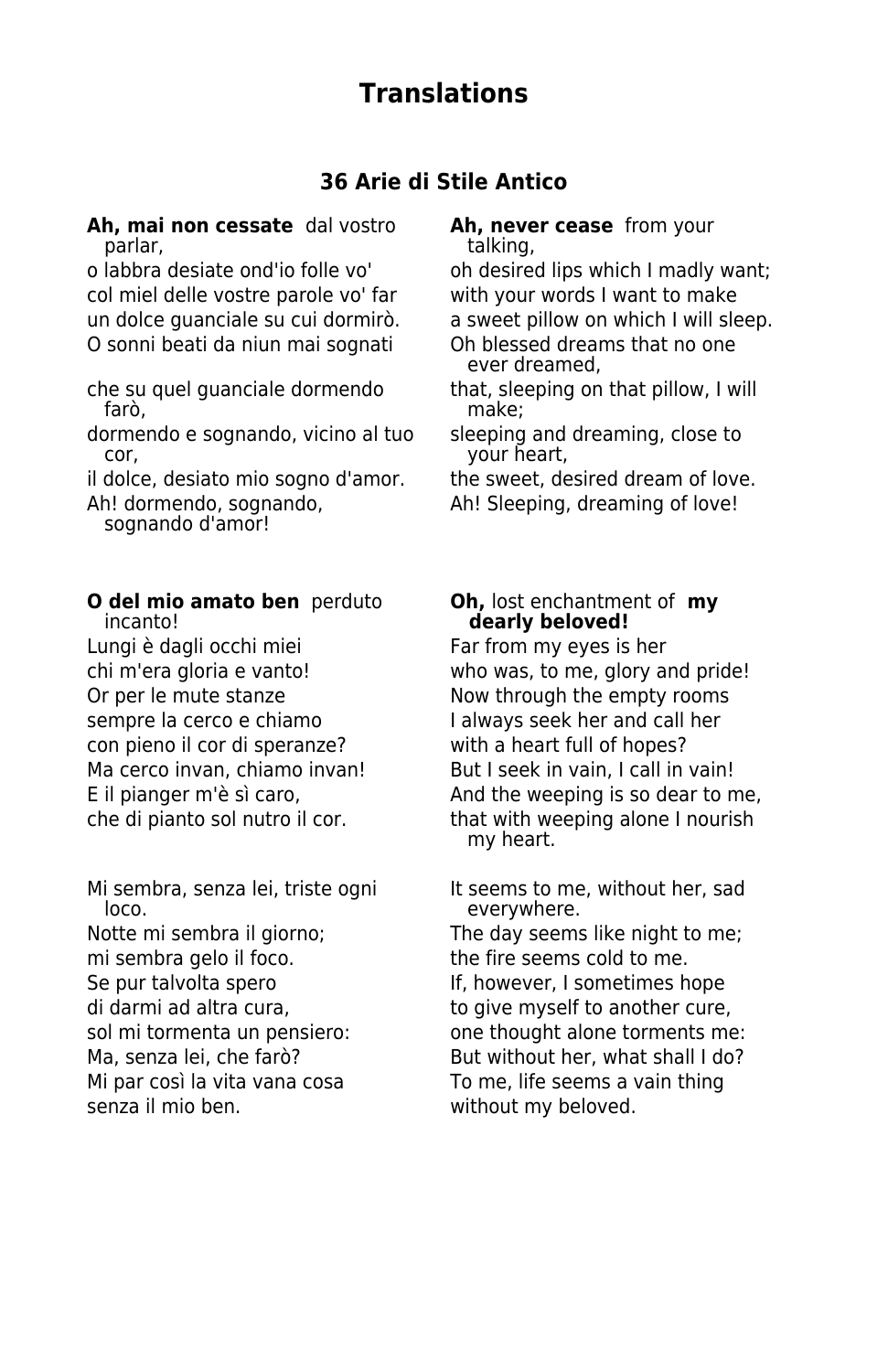# **Translations**

### **36 Arie di Stile Antico**

**Ah, mai non cessate**  dal vostro **Ah, never cease** from your parlar, talking, talking, talking, talking, talking, talking, talking, talking, talking, talking, talking, talking, talking, talking, talking, talking, talking, talking, talking, talking, talking, talking, talking, talking

col miel delle vostre parole vo' far with your words I want to make O sonni beati da niun mai sognati Oh blessed dreams that no one

farò, make;

dormendo e sognando, vicino al tuo sleeping and dreaming, close to cor, your heart,

sognando d'amor!

**O del mio amato ben** perduto **Oh,** lost enchantment of **my** incanto!

Lungi è dagli occhi miei Far from my eyes is her sempre la cerco e chiamo<br>
I always seek her and call her con pieno il cor di speranze? with a heart full of hopes?

loco. everywhere.

mi sembra gelo il foco. The fire seems cold to me. senza il mio ben. without my beloved.

o labbra desiate ond'io folle vo' oh desired lips which I madly want; un dolce guanciale su cui dormirò. a sweet pillow on which I will sleep.

ever dreamed,

che su quel guanciale dormendo that, sleeping on that pillow, I will<br>farò, indice: that pillow, I will

- 
- il dolce, desiato mio sogno d'amor. the sweet, desired dream of love.
- Ah! dormendo, sognando, Ah! Sleeping, dreaming of love!
	- dearly beloved!

chi m'era gloria e vanto! who was, to me, glory and pride! Or per le mute stanze Now through the empty rooms Ma cerco invan, chiamo invan! But I seek in vain, I call in vain! E il pianger m'è sì caro, and the weeping is so dear to me, che di pianto sol nutro il cor. that with weeping alone I nourish my heart.

Mi sembra, senza lei, triste ogni It seems to me, without her, sad Notte mi sembra il giorno; The day seems like night to me; Se pur talvolta spero Sensie and If, however, I sometimes hope di darmi ad altra cura, to give myself to another cure, sol mi tormenta un pensiero: one thought alone torments me: Ma, senza lei, che farò? But without her, what shall I do? Mi par così la vita vana cosa To me, life seems a vain thing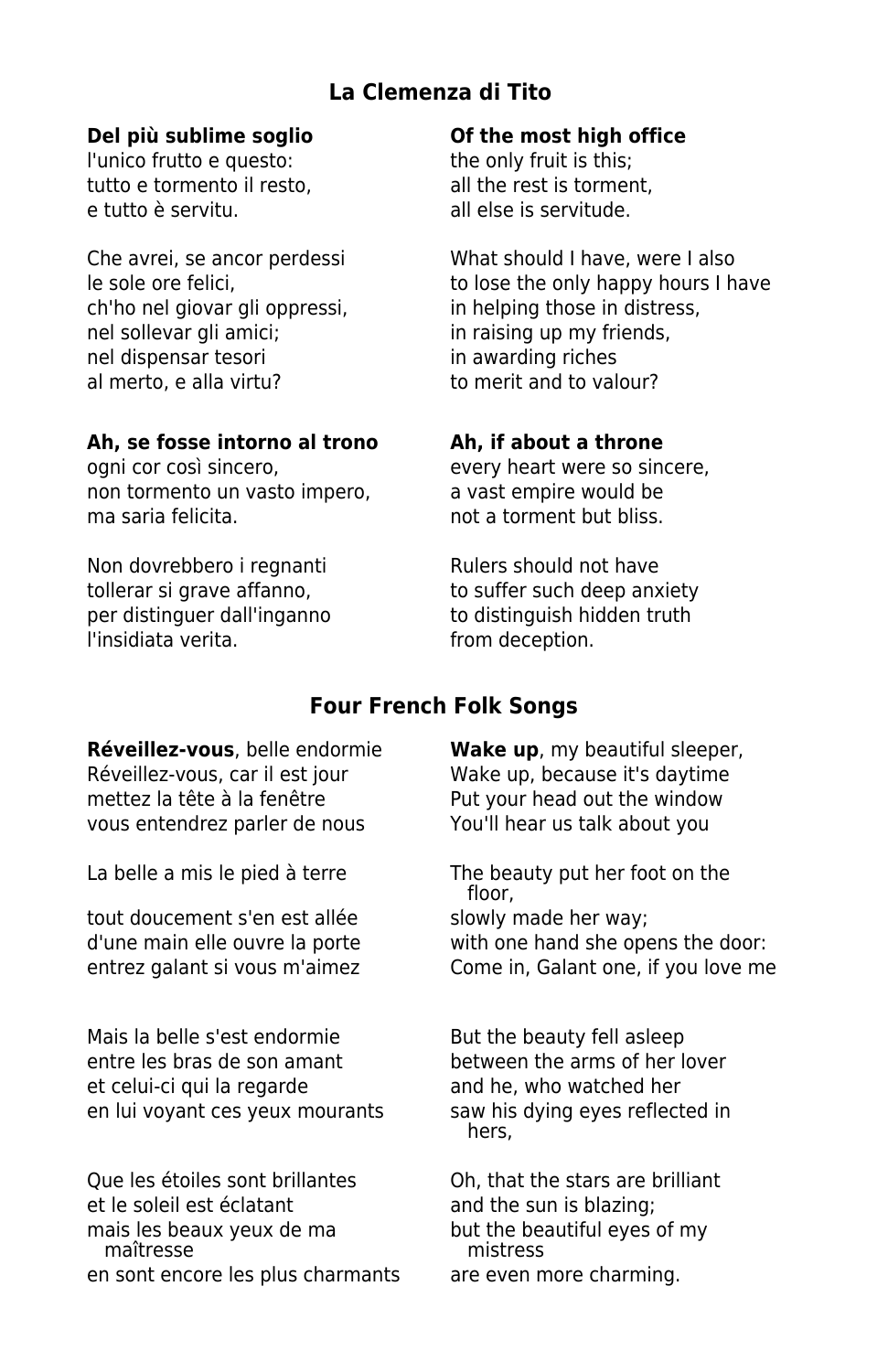### **La Clemenza di Tito**

l'unico frutto e questo: the only fruit is this; tutto e tormento il resto.<br>
all the rest is torment, e tutto è servitu. all else is servitude.

ch'ho nel giovar gli oppressi, in helping those in distress, nel sollevar gli amici; in raising up my friends, nel dispensar tesori in awarding riches al merto, e alla virtu? to merit and to valour?

### **Ah, se fosse intorno al trono Ah, if about a throne**

non tormento un vasto impero, a vast empire would be ma saria felicita. not a torment but bliss.

Non dovrebbero i regnanti Rulers should not have per distinguer dall'inganno to distinguish hidden truth l'insidiata verita. **El composto della contra la contra deception**.

### **Del più sublime soglio Of the most high office**

Che avrei, se ancor perdessi What should I have, were I also le sole ore felici, the sole ore felici, the sole of the only happy hours I have

ogni cor così sincero, exercitoriale very heart were so sincere,

tollerar si grave affanno, to suffer such deep anxiety

### **Four French Folk Songs**

**Réveillez-vous**, belle endormie **Wake up**, my beautiful sleeper, Réveillez-vous, car il est jour Wake up, because it's daytime mettez la tête à la fenêtre Put your head out the window vous entendrez parler de nous You'll hear us talk about you

tout doucement s'en est allée slowly made her way;

Mais la belle s'est endormie But the beauty fell asleep entre les bras de son amant between the arms of her lover et celui-ci qui la regarde and he, who watched her en lui voyant ces yeux mourants saw his dying eyes reflected in

Que les étoiles sont brillantes Oh, that the stars are brilliant et le soleil est éclatant and the sun is blazing; mais les beaux yeux de ma but the beautiful eyes of my<br>mistress mistresse maîtresse en sont encore les plus charmants are even more charming.

La belle a mis le pied à terre The beauty put her foot on the floor, d'une main elle ouvre la porte with one hand she opens the door: entrez galant si vous m'aimez Come in, Galant one, if you love me

hers,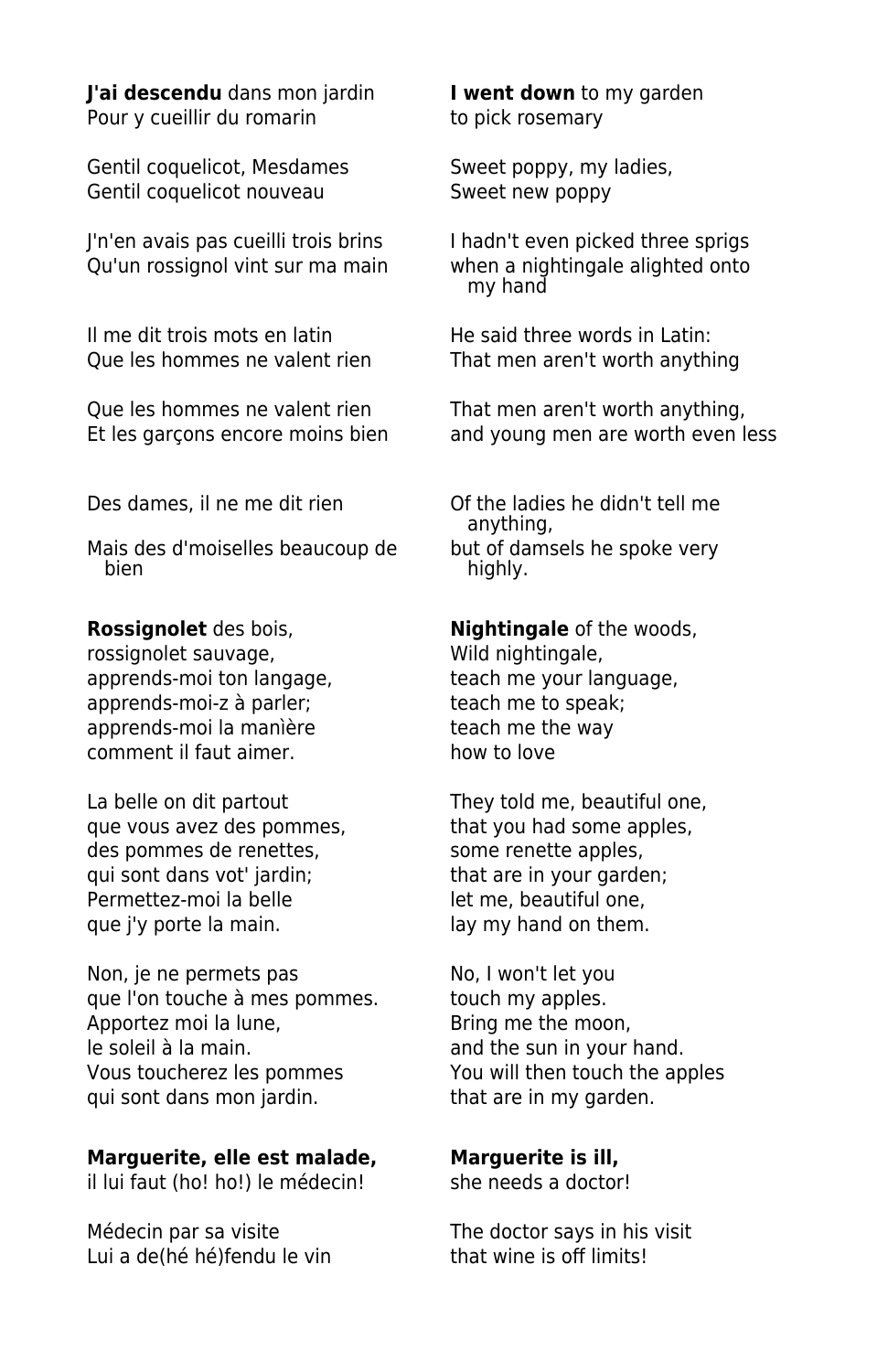**J'ai descendu** dans mon jardin **I went down** to my garden Pour y cueillir du romarin to pick rosemary

Gentil coquelicot, Mesdames Sweet poppy, my ladies, Gentil coquelicot nouveau Sweet new poppy

Il me dit trois mots en latin **He said three words in Latin:** 

Que les hommes ne valent rien That men aren't worth anything,

Mais des d'moiselles beaucoup de but of damsels he spoke very<br>bien

rossignolet sauvage, which wild nightingale, apprends-moi ton langage, teach me your language, apprends-moi-z à parler: teach me to speak; apprends-moi la manière entitlement teach me the way comment il faut aimer. how to love

La belle on dit partout They told me, beautiful one, que vous avez des pommes, that you had some apples, des pommes de renettes, some renette apples, qui sont dans vot' jardin; that are in your garden; Permettez-moi la belle let me, beautiful one, que j'y porte la main.  $\frac{1}{2}$  lay my hand on them.

Non, je ne permets pas No, I won't let you que l'on touche à mes pommes. touch my apples. Apportez moi la lune, entitled a Bring me the moon,<br>
le soleil à la main. Vous toucherez les pommes You will then touch the apples qui sont dans mon jardin. that are in my garden.

### **Marguerite, elle est malade, Marguerite is ill,**

il lui faut (ho! ho!) le médecin! she needs a doctor!

Lui a de(hé hé)fendu le vin that wine is off limits!

J'n'en avais pas cueilli trois brins I hadn't even picked three sprigs Qu'un rossignol vint sur ma main when a nightingale alighted onto my hand

Que les hommes ne valent rien That men aren't worth anything

Et les garçons encore moins bien and young men are worth even less

Des dames, il ne me dit rien **Of the ladies he didn't tell me**  anything, highly.

**Rossignolet** des bois, **Nightingale** of the woods,

and the sun in your hand.

Médecin par sa visite The doctor says in his visit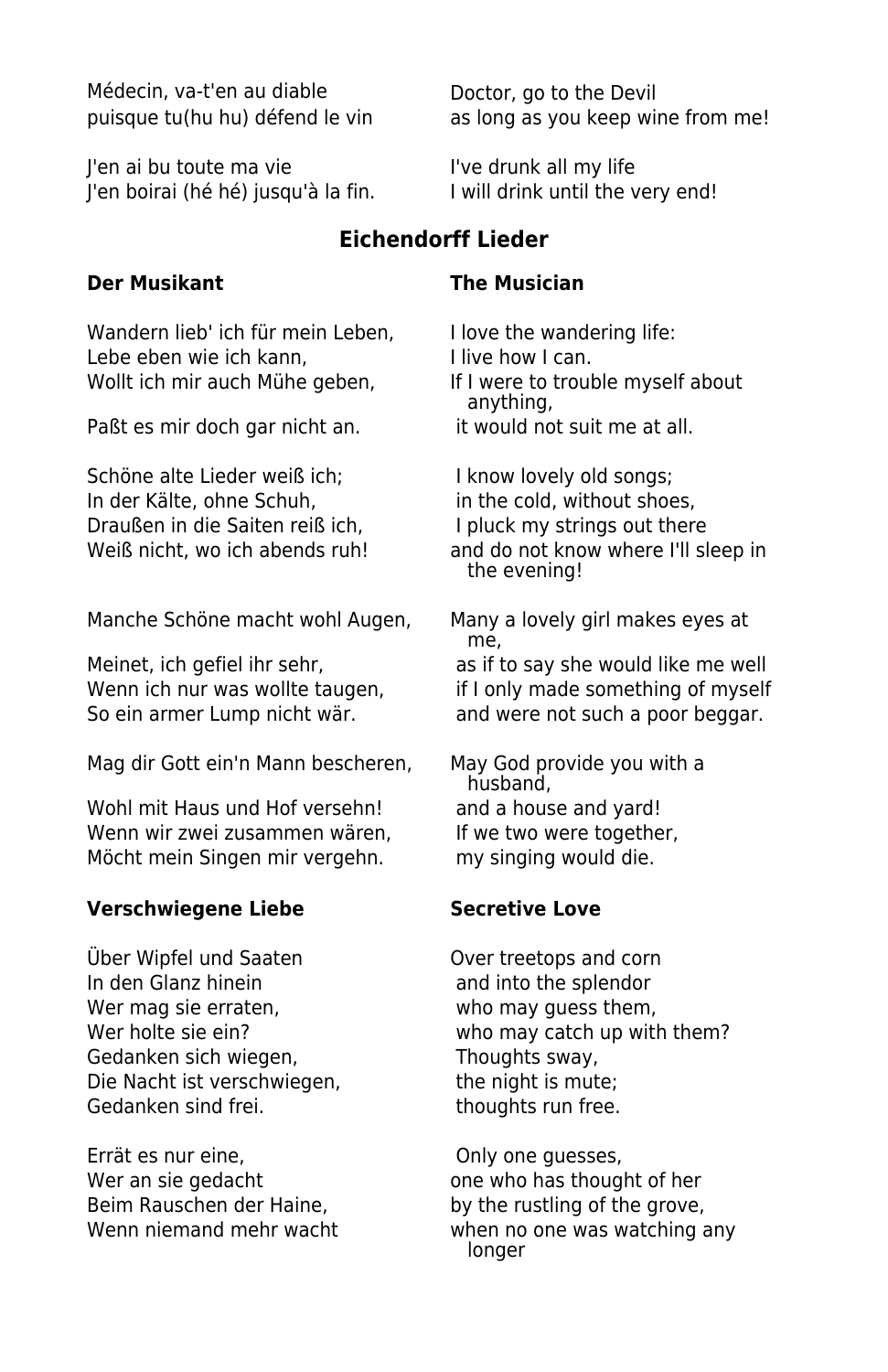Médecin, va-t'en au diable Doctor, go to the Devil

J'en ai bu toute ma vie **I've drunk all my life** J'en boirai (hé hé) jusqu'à la fin. I will drink until the very end!

**Der Musikant The Musician**

Wandern lieb' ich für mein Leben, I love the wandering life: Lebe eben wie ich kann, I live how I can. Wollt ich mir auch Mühe geben, If I were to trouble myself about

Paßt es mir doch gar nicht an. it would not suit me at all.

Schöne alte Lieder weiß ich; I know lovely old songs; In der Kälte, ohne Schuh, in the cold, without shoes, Draußen in die Saiten reiß ich, I pluck my strings out there

Manche Schöne macht wohl Augen, Many a lovely girl makes eyes at

Mag dir Gott ein'n Mann bescheren, May God provide you with a

Wohl mit Haus und Hof versehn! and a house and yard! Wenn wir zwei zusammen wären, If we two were together, Möcht mein Singen mir vergehn. my singing would die.

### **Verschwiegene Liebe Secretive Love**

Über Wipfel und Saaten Over treetops and corn In den Glanz hinein and into the splendor Wer mag sie erraten, who may guess them, Gedanken sich wiegen, Thoughts sway, Die Nacht ist verschwiegen, the night is mute; Gedanken sind frei. The state of thoughts run free.

Errät es nur eine, etc. The Conde only one guesses, Wer an sie gedacht one who has thought of her Beim Rauschen der Haine, by the rustling of the grove,

puisque tu(hu hu) défend le vin as long as you keep wine from me!

### **Eichendorff Lieder**

anything,

Weiß nicht, wo ich abends ruh! and do not know where I'll sleep in the evening!

me,

Meinet, ich gefiel ihr sehr, and as if to say she would like me well Wenn ich nur was wollte taugen, if I only made something of myself So ein armer Lump nicht wär. and were not such a poor beggar.

husband,

Wer holte sie ein? Wer holte sie ein?

Wenn niemand mehr wacht when no one was watching any longer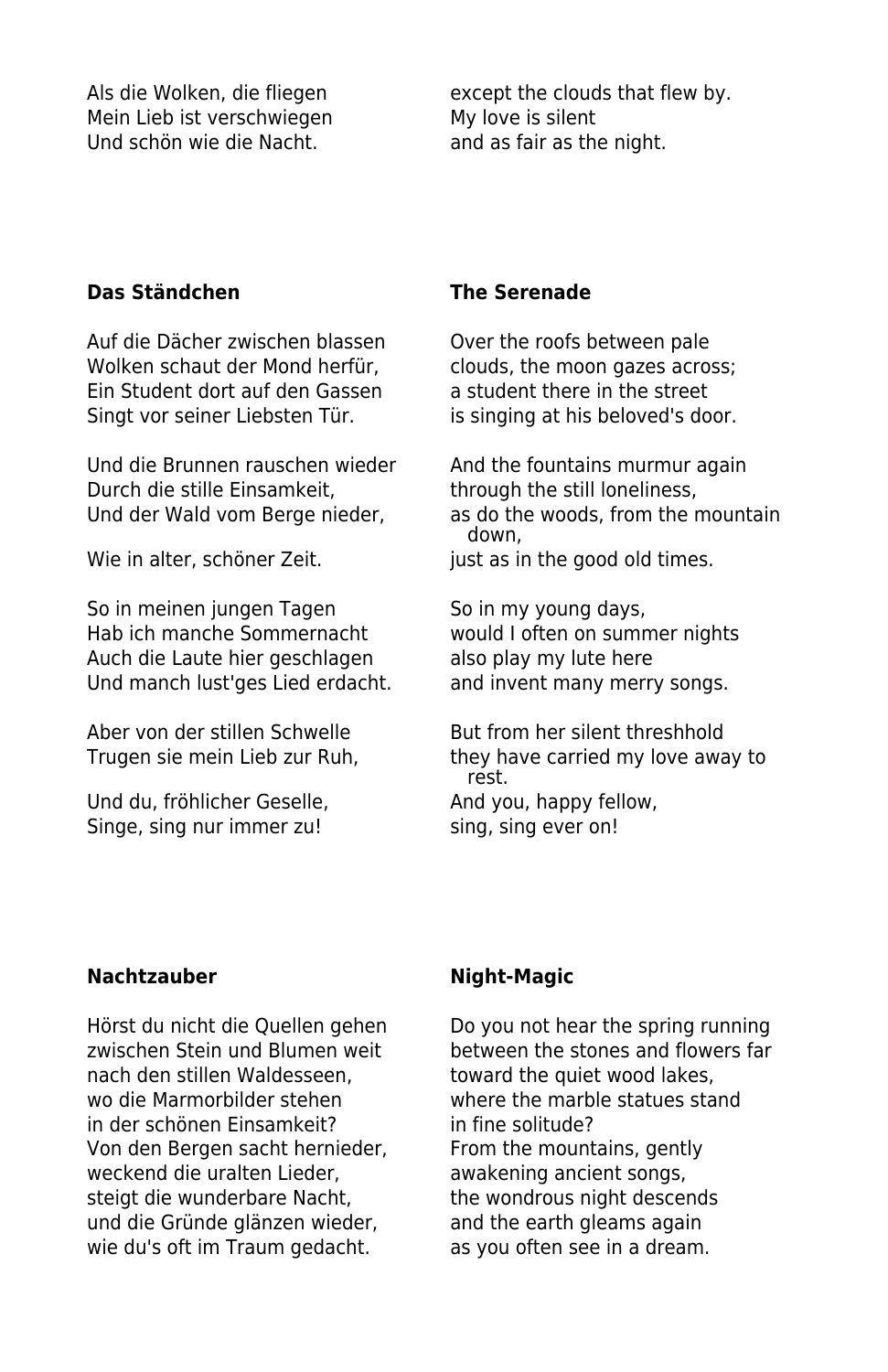Mein Lieb ist verschwiegen My love is silent Und schön wie die Nacht. and as fair as the night.

Als die Wolken, die fliegen except the clouds that flew by.

### **Das Ständchen The Serenade**

Auf die Dächer zwischen blassen Over the roofs between pale Wolken schaut der Mond herfür, clouds, the moon gazes across; Ein Student dort auf den Gassen a student there in the street Singt vor seiner Liebsten Tür. is singing at his beloved's door.

Und die Brunnen rauschen wieder And the fountains murmur again Durch die stille Einsamkeit, through the still loneliness,

So in meinen jungen Tagen So in my young days, Hab ich manche Sommernacht would I often on summer nights Auch die Laute hier geschlagen also play my lute here<br>Und manch lust'ges Lied erdacht. and invent many merry songs. Und manch lust'ges Lied erdacht.

Und du, fröhlicher Geselle, and you, happy fellow, Singe, sing nur immer zu! sing, sing ever on!

Und der Wald vom Berge nieder, as do the woods, from the mountain down, Wie in alter, schöner Zeit. just as in the good old times.

Aber von der stillen Schwelle But from her silent threshhold Trugen sie mein Lieb zur Ruh, they have carried my love away to rest.

### **Nachtzauber Night-Magic**

nach den stillen Waldesseen, toward the quiet wood lakes, wo die Marmorbilder stehen where the marble statues stand in der schönen Einsamkeit? in fine solitude? Von den Bergen sacht hernieder, From the mountains, gently weckend die uralten Lieder, aus awakening ancient songs, steigt die wunderbare Nacht, the wondrous night descends und die Gründe glänzen wieder, and the earth gleams again wie du's oft im Traum gedacht. as you often see in a dream.

Hörst du nicht die Quellen gehen Do you not hear the spring running zwischen Stein und Blumen weit between the stones and flowers far